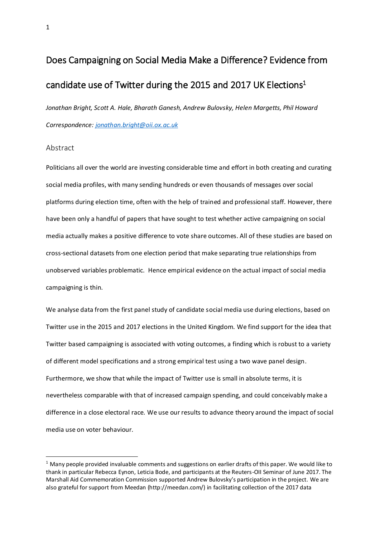# Does Campaigning on Social Media Make a Difference? Evidence from candidate use of Twitter during the 2015 and 2017 UK Elections<sup>1</sup>

*Jonathan Bright, Scott A. Hale, Bharath Ganesh, Andrew Bulovsky, Helen Margetts, Phil Howard Correspondence: [jonathan.bright@oii.ox.ac.uk](mailto:jonathan.bright@oii.ox.ac.uk)*

#### Abstract

-

Politicians all over the world are investing considerable time and effort in both creating and curating social media profiles, with many sending hundreds or even thousands of messages over social platforms during election time, often with the help of trained and professional staff. However, there have been only a handful of papers that have sought to test whether active campaigning on social media actually makes a positive difference to vote share outcomes. All of these studies are based on cross-sectional datasets from one election period that make separating true relationships from unobserved variables problematic. Hence empirical evidence on the actual impact of social media campaigning is thin.

We analyse data from the first panel study of candidate social media use during elections, based on Twitter use in the 2015 and 2017 elections in the United Kingdom. We find support for the idea that Twitter based campaigning is associated with voting outcomes, a finding which is robust to a variety of different model specifications and a strong empirical test using a two wave panel design. Furthermore, we show that while the impact of Twitter use is small in absolute terms, it is nevertheless comparable with that of increased campaign spending, and could conceivably make a difference in a close electoral race. We use our results to advance theory around the impact of social media use on voter behaviour.

 $1$  Many people provided invaluable comments and suggestions on earlier drafts of this paper. We would like to thank in particular Rebecca Eynon, Leticia Bode, and participants at the Reuters-OII Seminar of June 2017. The Marshall Aid Commemoration Commission supported Andrew Bulovsky's participation in the project. We are also grateful for support from Meedan (http://meedan.com/) in facilitating collection of the 2017 data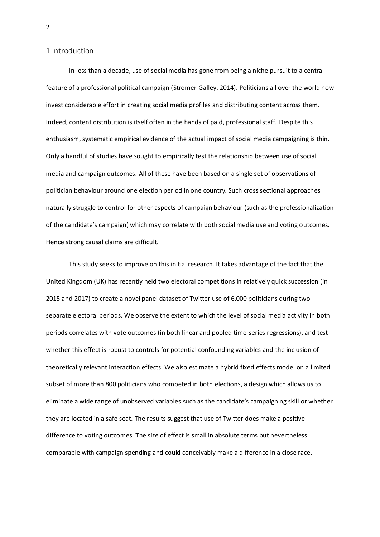#### 1 Introduction

In less than a decade, use of social media has gone from being a niche pursuit to a central feature of a professional political campaign (Stromer-Galley, 2014). Politicians all over the world now invest considerable effort in creating social media profiles and distributing content across them. Indeed, content distribution is itself often in the hands of paid, professional staff. Despite this enthusiasm, systematic empirical evidence of the actual impact of social media campaigning is thin. Only a handful of studies have sought to empirically test the relationship between use of social media and campaign outcomes. All of these have been based on a single set of observations of politician behaviour around one election period in one country. Such cross sectional approaches naturally struggle to control for other aspects of campaign behaviour (such as the professionalization of the candidate's campaign) which may correlate with both social media use and voting outcomes. Hence strong causal claims are difficult.

This study seeks to improve on this initial research. It takes advantage of the fact that the United Kingdom (UK) has recently held two electoral competitions in relatively quick succession (in 2015 and 2017) to create a novel panel dataset of Twitter use of 6,000 politicians during two separate electoral periods. We observe the extent to which the level of social media activity in both periods correlates with vote outcomes (in both linear and pooled time-series regressions), and test whether this effect is robust to controls for potential confounding variables and the inclusion of theoretically relevant interaction effects. We also estimate a hybrid fixed effects model on a limited subset of more than 800 politicians who competed in both elections, a design which allows us to eliminate a wide range of unobserved variables such as the candidate's campaigning skill or whether they are located in a safe seat. The results suggest that use of Twitter does make a positive difference to voting outcomes. The size of effect is small in absolute terms but nevertheless comparable with campaign spending and could conceivably make a difference in a close race.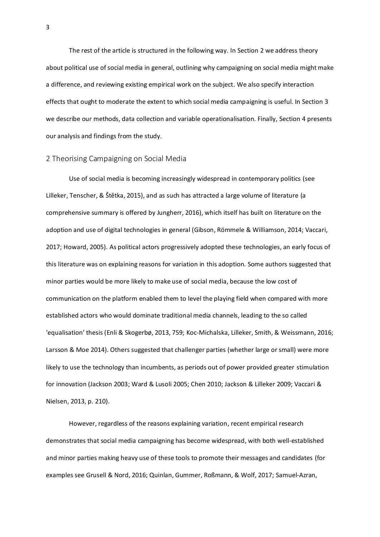The rest of the article is structured in the following way. In Section 2 we address theory about political use of social media in general, outlining why campaigning on social media might make a difference, and reviewing existing empirical work on the subject. We also specify interaction effects that ought to moderate the extent to which social media campaigning is useful. In Section 3 we describe our methods, data collection and variable operationalisation. Finally, Section 4 presents our analysis and findings from the study.

#### 2 Theorising Campaigning on Social Media

Use of social media is becoming increasingly widespread in contemporary politics (see Lilleker, Tenscher, & [Štětka](http://www.tandfonline.com/author/%C5%A0t%C4%9Btka%2C+V%C3%A1clav), 2015), and as such has attracted a large volume of literature (a comprehensive summary is offered by Jungherr, 2016), which itself has built on literature on the adoption and use of digital technologies in general (Gibson, Römmele & Williamson, 2014; Vaccari, 2017; Howard, 2005). As political actors progressively adopted these technologies, an early focus of this literature was on explaining reasons for variation in this adoption. Some authors suggested that minor parties would be more likely to make use of social media, because the low cost of communication on the platform enabled them to level the playing field when compared with more established actors who would dominate traditional media channels, leading to the so called 'equalisation' thesis (Enli & Skogerbø, 2013, 759; Koc-Michalska, Lilleker, Smith, & Weissmann, 2016; Larsson & Moe 2014). Others suggested that challenger parties (whether large or small) were more likely to use the technology than incumbents, as periods out of power provided greater stimulation for innovation (Jackson 2003; Ward & Lusoli 2005; Chen 2010; Jackson & Lilleker 2009; Vaccari & Nielsen, 2013, p. 210).

However, regardless of the reasons explaining variation, recent empirical research demonstrates that social media campaigning has become widespread, with both well-established and minor parties making heavy use of these tools to promote their messages and candidates (for examples see Grusell & Nord, 2016; Quinlan, Gummer, Roßmann, & Wolf, 2017; Samuel-Azran,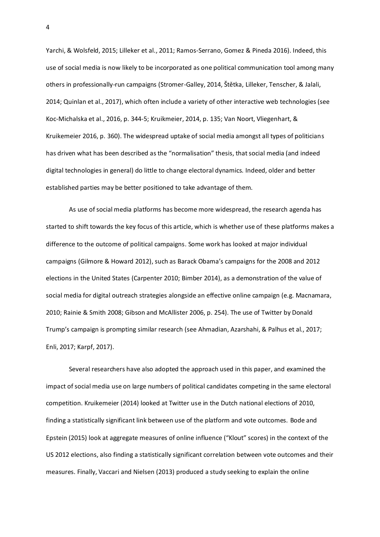Yarchi, & Wolsfeld, 2015; Lilleker et al., 2011; Ramos-Serrano, Gomez & Pineda 2016). Indeed, this use of social media is now likely to be incorporated as one political communication tool among many others in professionally-run campaigns (Stromer-Galley, 2014, Štětka, Lilleker, Tenscher, & Jalali, 2014; Quinlan et al., 2017), which often include a variety of other interactive web technologies (see Koc-Michalska et al., 2016, p. 344-5; Kruikmeier, 2014, p. 135; Van Noort, Vliegenhart, & Kruikemeier 2016, p. 360). The widespread uptake of social media amongst all types of politicians has driven what has been described as the "normalisation" thesis, that social media (and indeed digital technologies in general) do little to change electoral dynamics. Indeed, older and better established parties may be better positioned to take advantage of them.

As use of social media platforms has become more widespread, the research agenda has started to shift towards the key focus of this article, which is whether use of these platforms makes a difference to the outcome of political campaigns. Some work has looked at major individual campaigns (Gilmore & Howard 2012), such as Barack Obama's campaigns for the 2008 and 2012 elections in the United States (Carpenter 2010; Bimber 2014), as a demonstration of the value of social media for digital outreach strategies alongside an effective online campaign (e.g. Macnamara, 2010; Rainie & Smith 2008; Gibson and McAllister 2006, p. 254). The use of Twitter by Donald Trump's campaign is prompting similar research (see Ahmadian, Azarshahi, & Palhus et al., 2017; Enli, 2017; Karpf, 2017).

Several researchers have also adopted the approach used in this paper, and examined the impact of social media use on large numbers of political candidates competing in the same electoral competition. Kruikemeier (2014) looked at Twitter use in the Dutch national elections of 2010, finding a statistically significant link between use of the platform and vote outcomes. Bode and Epstein (2015) look at aggregate measures of online influence ("Klout" scores) in the context of the US 2012 elections, also finding a statistically significant correlation between vote outcomes and their measures. Finally, Vaccari and Nielsen (2013) produced a study seeking to explain the online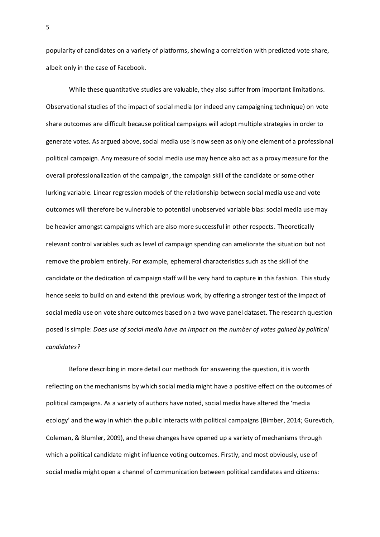popularity of candidates on a variety of platforms, showing a correlation with predicted vote share, albeit only in the case of Facebook.

While these quantitative studies are valuable, they also suffer from important limitations. Observational studies of the impact of social media (or indeed any campaigning technique) on vote share outcomes are difficult because political campaigns will adopt multiple strategies in order to generate votes. As argued above, social media use is now seen as only one element of a professional political campaign. Any measure of social media use may hence also act as a proxy measure for the overall professionalization of the campaign, the campaign skill of the candidate or some other lurking variable. Linear regression models of the relationship between social media use and vote outcomes will therefore be vulnerable to potential unobserved variable bias: social media use may be heavier amongst campaigns which are also more successful in other respects. Theoretically relevant control variables such as level of campaign spending can ameliorate the situation but not remove the problem entirely. For example, ephemeral characteristics such as the skill of the candidate or the dedication of campaign staff will be very hard to capture in this fashion. This study hence seeks to build on and extend this previous work, by offering a stronger test of the impact of social media use on vote share outcomes based on a two wave panel dataset. The research question posed is simple: *Does use of social media have an impact on the number of votes gained by political candidates?*

Before describing in more detail our methods for answering the question, it is worth reflecting on the mechanisms by which social media might have a positive effect on the outcomes of political campaigns. As a variety of authors have noted, social media have altered the 'media ecology' and the way in which the public interacts with political campaigns (Bimber, 2014; Gurevtich, Coleman, & Blumler, 2009), and these changes have opened up a variety of mechanisms through which a political candidate might influence voting outcomes. Firstly, and most obviously, use of social media might open a channel of communication between political candidates and citizens: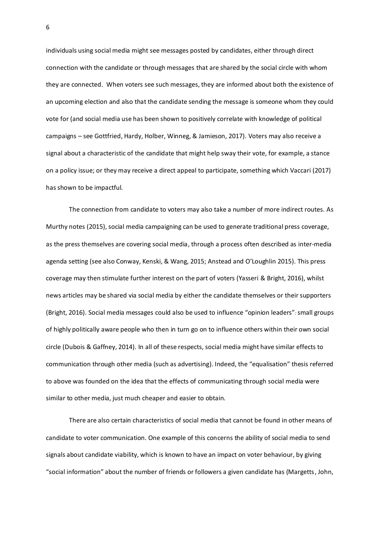individuals using social media might see messages posted by candidates, either through direct connection with the candidate or through messages that are shared by the social circle with whom they are connected. When voters see such messages, they are informed about both the existence of an upcoming election and also that the candidate sending the message is someone whom they could vote for (and social media use has been shown to positively correlate with knowledge of political campaigns – see Gottfried, Hardy, Holber, Winneg, & Jamieson, 2017). Voters may also receive a signal about a characteristic of the candidate that might help sway their vote, for example, a stance on a policy issue; or they may receive a direct appeal to participate, something which Vaccari (2017) has shown to be impactful.

The connection from candidate to voters may also take a number of more indirect routes. As Murthy notes (2015), social media campaigning can be used to generate traditional press coverage, as the press themselves are covering social media, through a process often described as inter-media agenda setting (see also Conway, Kenski, & Wang, 2015; Anstead and O'Loughlin 2015). This press coverage may then stimulate further interest on the part of voters (Yasseri & Bright, 2016), whilst news articles may be shared via social media by either the candidate themselves or their supporters (Bright, 2016). Social media messages could also be used to influence "opinion leaders": small groups of highly politically aware people who then in turn go on to influence others within their own social circle (Dubois & Gaffney, 2014). In all of these respects, social media might have similar effects to communication through other media (such as advertising). Indeed, the "equalisation" thesis referred to above was founded on the idea that the effects of communicating through social media were similar to other media, just much cheaper and easier to obtain.

There are also certain characteristics of social media that cannot be found in other means of candidate to voter communication. One example of this concerns the ability of social media to send signals about candidate viability, which is known to have an impact on voter behaviour, by giving "social information" about the number of friends or followers a given candidate has (Margetts, John,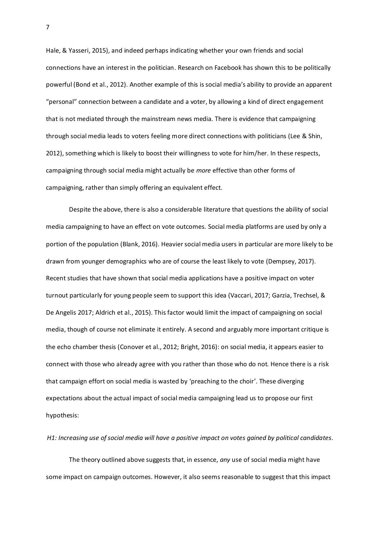Hale, & Yasseri, 2015), and indeed perhaps indicating whether your own friends and social connections have an interest in the politician. Research on Facebook has shown this to be politically powerful (Bond et al., 2012). Another example of this is social media's ability to provide an apparent "personal" connection between a candidate and a voter, by allowing a kind of direct engagement that is not mediated through the mainstream news media. There is evidence that campaigning through social media leads to voters feeling more direct connections with politicians (Lee & Shin, 2012), something which is likely to boost their willingness to vote for him/her. In these respects, campaigning through social media might actually be *more* effective than other forms of campaigning, rather than simply offering an equivalent effect.

Despite the above, there is also a considerable literature that questions the ability of social media campaigning to have an effect on vote outcomes. Social media platforms are used by only a portion of the population (Blank, 2016). Heavier social media users in particular are more likely to be drawn from younger demographics who are of course the least likely to vote (Dempsey, 2017). Recent studies that have shown that social media applications have a positive impact on voter turnout particularly for young people seem to support this idea (Vaccari, 2017; Garzia, Trechsel, & De Angelis 2017; Aldrich et al., 2015). This factor would limit the impact of campaigning on social media, though of course not eliminate it entirely. A second and arguably more important critique is the echo chamber thesis (Conover et al., 2012; Bright, 2016): on social media, it appears easier to connect with those who already agree with you rather than those who do not. Hence there is a risk that campaign effort on social media is wasted by 'preaching to the choir'. These diverging expectations about the actual impact of social media campaigning lead us to propose our first hypothesis:

*H1: Increasing use of social media will have a positive impact on votes gained by political candidates.*

The theory outlined above suggests that, in essence, *any* use of social media might have some impact on campaign outcomes. However, it also seems reasonable to suggest that this impact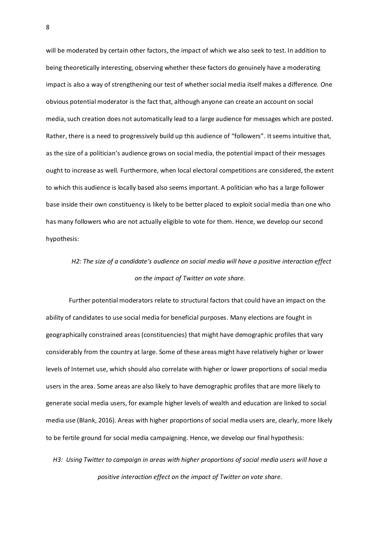will be moderated by certain other factors, the impact of which we also seek to test. In addition to being theoretically interesting, observing whether these factors do genuinely have a moderating impact is also a way of strengthening our test of whether social media itself makes a difference. One obvious potential moderator is the fact that, although anyone can create an account on social media, such creation does not automatically lead to a large audience for messages which are posted. Rather, there is a need to progressively build up this audience of "followers". It seems intuitive that, as the size of a politician's audience grows on social media, the potential impact of their messages ought to increase as well. Furthermore, when local electoral competitions are considered, the extent to which this audience is locally based also seems important. A politician who has a large follower base inside their own constituency is likely to be better placed to exploit social media than one who has many followers who are not actually eligible to vote for them. Hence, we develop our second hypothesis:

# *H2: The size of a candidate's audience on social media will have a positive interaction effect on the impact of Twitter on vote share.*

Further potential moderators relate to structural factors that could have an impact on the ability of candidates to use social media for beneficial purposes. Many elections are fought in geographically constrained areas (constituencies) that might have demographic profiles that vary considerably from the country at large. Some of these areas might have relatively higher or lower levels of Internet use, which should also correlate with higher or lower proportions of social media users in the area. Some areas are also likely to have demographic profiles that are more likely to generate social media users, for example higher levels of wealth and education are linked to social media use (Blank, 2016). Areas with higher proportions of social media users are, clearly, more likely to be fertile ground for social media campaigning. Hence, we develop our final hypothesis:

*H3: Using Twitter to campaign in areas with higher proportions of social media users will have a positive interaction effect on the impact of Twitter on vote share.*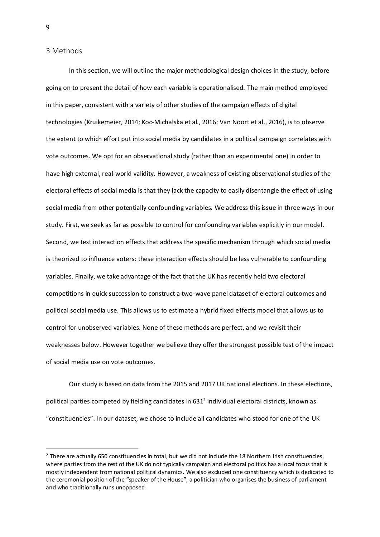#### 3 Methods

In this section, we will outline the major methodological design choices in the study, before going on to present the detail of how each variable is operationalised. The main method employed in this paper, consistent with a variety of other studies of the campaign effects of digital technologies (Kruikemeier, 2014; Koc-Michalska et al., 2016; Van Noort et al., 2016), is to observe the extent to which effort put into social media by candidates in a political campaign correlates with vote outcomes. We opt for an observational study (rather than an experimental one) in order to have high external, real-world validity. However, a weakness of existing observational studies of the electoral effects of social media is that they lack the capacity to easily disentangle the effect of using social media from other potentially confounding variables. We address this issue in three ways in our study. First, we seek as far as possible to control for confounding variables explicitly in our model. Second, we test interaction effects that address the specific mechanism through which social media is theorized to influence voters: these interaction effects should be less vulnerable to confounding variables. Finally, we take advantage of the fact that the UK has recently held two electoral competitions in quick succession to construct a two-wave panel dataset of electoral outcomes and political social media use. This allows us to estimate a hybrid fixed effects model that allows us to control for unobserved variables. None of these methods are perfect, and we revisit their weaknesses below. However together we believe they offer the strongest possible test of the impact of social media use on vote outcomes.

Our study is based on data from the 2015 and 2017 UK national elections. In these elections, political parties competed by fielding candidates in  $631^2$  individual electoral districts, known as "constituencies". In our dataset, we chose to include all candidates who stood for one of the UK

<sup>&</sup>lt;sup>2</sup> There are actually 650 constituencies in total, but we did not include the 18 Northern Irish constituencies, where parties from the rest of the UK do not typically campaign and electoral politics has a local focus that is mostly independent from national political dynamics. We also excluded one constituency which is dedicated to the ceremonial position of the "speaker of the House", a politician who organises the business of parliament and who traditionally runs unopposed.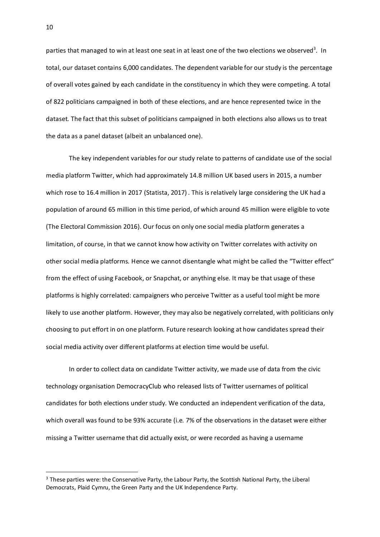parties that managed to win at least one seat in at least one of the two elections we observed<sup>3</sup>. In total, our dataset contains 6,000 candidates. The dependent variable for our study is the percentage of overall votes gained by each candidate in the constituency in which they were competing. A total of 822 politicians campaigned in both of these elections, and are hence represented twice in the dataset. The fact that this subset of politicians campaigned in both elections also allows us to treat the data as a panel dataset (albeit an unbalanced one).

The key independent variables for our study relate to patterns of candidate use of the social media platform Twitter, which had approximately 14.8 million UK based users in 2015, a number which rose to 16.4 million in 2017 (Statista, 2017) . This is relatively large considering the UK had a population of around 65 million in this time period, of which around 45 million were eligible to vote (The Electoral Commission 2016). Our focus on only one social media platform generates a limitation, of course, in that we cannot know how activity on Twitter correlates with activity on other social media platforms. Hence we cannot disentangle what might be called the "Twitter effect" from the effect of using Facebook, or Snapchat, or anything else. It may be that usage of these platforms is highly correlated: campaigners who perceive Twitter as a useful tool might be more likely to use another platform. However, they may also be negatively correlated, with politicians only choosing to put effort in on one platform. Future research looking at how candidates spread their social media activity over different platforms at election time would be useful.

In order to collect data on candidate Twitter activity, we made use of data from the civic technology organisation DemocracyClub who released lists of Twitter usernames of political candidates for both elections under study. We conducted an independent verification of the data, which overall was found to be 93% accurate (i.e. 7% of the observations in the dataset were either missing a Twitter username that did actually exist, or were recorded as having a username

<sup>&</sup>lt;sup>3</sup> These parties were: the Conservative Party, the Labour Party, the Scottish National Party, the Liberal Democrats, Plaid Cymru, the Green Party and the UK Independence Party.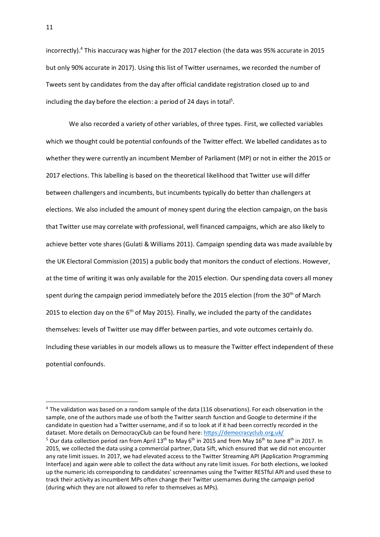incorrectly). <sup>4</sup> This inaccuracy was higher for the 2017 election (the data was 95% accurate in 2015 but only 90% accurate in 2017). Using this list of Twitter usernames, we recorded the number of Tweets sent by candidates from the day after official candidate registration closed up to and including the day before the election: a period of 24 days in total<sup>5</sup>.

We also recorded a variety of other variables, of three types. First, we collected variables which we thought could be potential confounds of the Twitter effect. We labelled candidates as to whether they were currently an incumbent Member of Parliament (MP) or not in either the 2015 or 2017 elections. This labelling is based on the theoretical likelihood that Twitter use will differ between challengers and incumbents, but incumbents typically do better than challengers at elections. We also included the amount of money spent during the election campaign, on the basis that Twitter use may correlate with professional, well financed campaigns, which are also likely to achieve better vote shares (Gulati & Williams 2011). Campaign spending data was made available by the UK Electoral Commission (2015) a public body that monitors the conduct of elections. However, at the time of writing it was only available for the 2015 election. Our spending data covers all money spent during the campaign period immediately before the 2015 election (from the 30<sup>th</sup> of March 2015 to election day on the  $6<sup>th</sup>$  of May 2015). Finally, we included the party of the candidates themselves: levels of Twitter use may differ between parties, and vote outcomes certainly do. Including these variables in our models allows us to measure the Twitter effect independent of these potential confounds.

<sup>&</sup>lt;sup>4</sup> The validation was based on a random sample of the data (116 observations). For each observation in the sample, one of the authors made use of both the Twitter search function and Google to determine if the candidate in question had a Twitter username, and if so to look at if it had been correctly recorded in the dataset. More details on DemocracyClub can be found here[: https://democracyclub.org.uk/](https://democracyclub.org.uk/) <sup>5</sup> Our data collection period ran from April 13<sup>th</sup> to May 6<sup>th</sup> in 2015 and from May 16<sup>th</sup> to June 8<sup>th</sup> in 2017. In 2015, we collected the data using a commercial partner, Data Sift, which ensured that we did not encounter any rate limit issues. In 2017, we had elevated access to the Twitter Streaming API (Application Programming Interface) and again were able to collect the data without any rate limit issues. For both elections, we looked up the numeric ids corresponding to candidates' screennames using the Twitter RESTful API and used these to track their activity as incumbent MPs often change their Twitter usernames during the campaign period (during which they are not allowed to refer to themselves as MPs).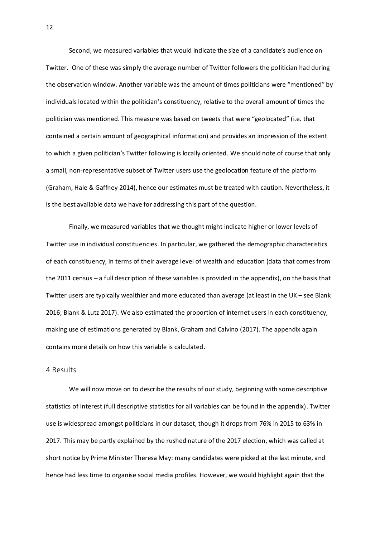Second, we measured variables that would indicate the size of a candidate's audience on Twitter. One of these was simply the average number of Twitter followers the politician had during the observation window. Another variable was the amount of times politicians were "mentioned" by individuals located within the politician's constituency, relative to the overall amount of times the politician was mentioned. This measure was based on tweets that were "geolocated" (i.e. that contained a certain amount of geographical information) and provides an impression of the extent to which a given politician's Twitter following is locally oriented. We should note of course that only a small, non-representative subset of Twitter users use the geolocation feature of the platform (Graham, Hale & Gaffney 2014), hence our estimates must be treated with caution. Nevertheless, it is the best available data we have for addressing this part of the question.

Finally, we measured variables that we thought might indicate higher or lower levels of Twitter use in individual constituencies. In particular, we gathered the demographic characteristics of each constituency, in terms of their average level of wealth and education (data that comes from the 2011 census – a full description of these variables is provided in the appendix), on the basis that Twitter users are typically wealthier and more educated than average (at least in the UK – see Blank 2016; Blank & Lutz 2017). We also estimated the proportion of internet users in each constituency, making use of estimations generated by Blank, Graham and Calvino (2017). The appendix again contains more details on how this variable is calculated.

### 4 Results

We will now move on to describe the results of our study, beginning with some descriptive statistics of interest (full descriptive statistics for all variables can be found in the appendix). Twitter use is widespread amongst politicians in our dataset, though it drops from 76% in 2015 to 63% in 2017. This may be partly explained by the rushed nature of the 2017 election, which was called at short notice by Prime Minister Theresa May: many candidates were picked at the last minute, and hence had less time to organise social media profiles. However, we would highlight again that the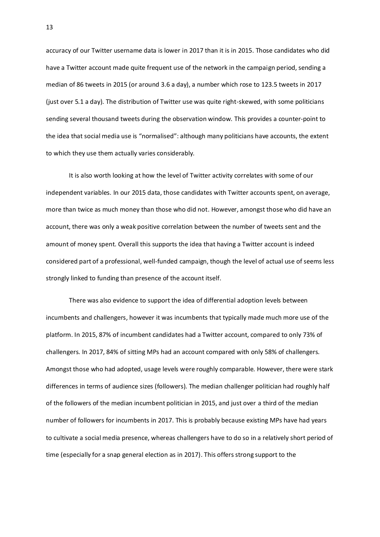accuracy of our Twitter username data is lower in 2017 than it is in 2015. Those candidates who did have a Twitter account made quite frequent use of the network in the campaign period, sending a median of 86 tweets in 2015 (or around 3.6 a day), a number which rose to 123.5 tweets in 2017 (just over 5.1 a day). The distribution of Twitter use was quite right-skewed, with some politicians sending several thousand tweets during the observation window. This provides a counter-point to the idea that social media use is "normalised": although many politicians have accounts, the extent to which they use them actually varies considerably.

It is also worth looking at how the level of Twitter activity correlates with some of our independent variables. In our 2015 data, those candidates with Twitter accounts spent, on average, more than twice as much money than those who did not. However, amongst those who did have an account, there was only a weak positive correlation between the number of tweets sent and the amount of money spent. Overall this supports the idea that having a Twitter account is indeed considered part of a professional, well-funded campaign, though the level of actual use of seems less strongly linked to funding than presence of the account itself.

There was also evidence to support the idea of differential adoption levels between incumbents and challengers, however it was incumbents that typically made much more use of the platform. In 2015, 87% of incumbent candidates had a Twitter account, compared to only 73% of challengers. In 2017, 84% of sitting MPs had an account compared with only 58% of challengers. Amongst those who had adopted, usage levels were roughly comparable. However, there were stark differences in terms of audience sizes (followers). The median challenger politician had roughly half of the followers of the median incumbent politician in 2015, and just over a third of the median number of followers for incumbents in 2017. This is probably because existing MPs have had years to cultivate a social media presence, whereas challengers have to do so in a relatively short period of time (especially for a snap general election as in 2017). This offers strong support to the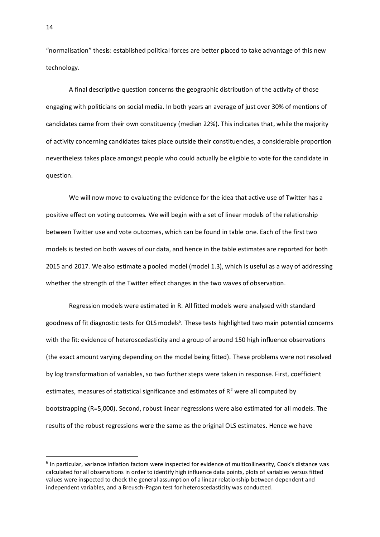"normalisation" thesis: established political forces are better placed to take advantage of this new technology.

A final descriptive question concerns the geographic distribution of the activity of those engaging with politicians on social media. In both years an average of just over 30% of mentions of candidates came from their own constituency (median 22%). This indicates that, while the majority of activity concerning candidates takes place outside their constituencies, a considerable proportion nevertheless takes place amongst people who could actually be eligible to vote for the candidate in question.

We will now move to evaluating the evidence for the idea that active use of Twitter has a positive effect on voting outcomes. We will begin with a set of linear models of the relationship between Twitter use and vote outcomes, which can be found in table one. Each of the first two models is tested on both waves of our data, and hence in the table estimates are reported for both 2015 and 2017. We also estimate a pooled model (model 1.3), which is useful as a way of addressing whether the strength of the Twitter effect changes in the two waves of observation.

Regression models were estimated in R. All fitted models were analysed with standard goodness of fit diagnostic tests for OLS models<sup>6</sup>. These tests highlighted two main potential concerns with the fit: evidence of heteroscedasticity and a group of around 150 high influence observations (the exact amount varying depending on the model being fitted). These problems were not resolved by log transformation of variables, so two further steps were taken in response. First, coefficient estimates, measures of statistical significance and estimates of  $R<sup>2</sup>$  were all computed by bootstrapping (R=5,000). Second, robust linear regressions were also estimated for all models. The results of the robust regressions were the same as the original OLS estimates. Hence we have

<sup>6</sup> In particular, variance inflation factors were inspected for evidence of multicollinearity, Cook's distance was calculated for all observations in order to identify high influence data points, plots of variables versus fitted values were inspected to check the general assumption of a linear relationship between dependent and independent variables, and a Breusch-Pagan test for heteroscedasticity was conducted.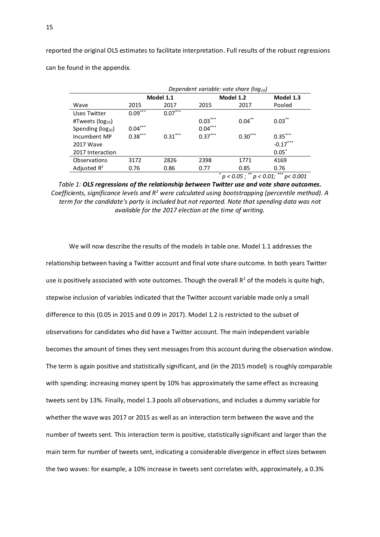reported the original OLS estimates to facilitate interpretation. Full results of the robust regressions can be found in the appendix.

|                         | Dependent variable: vote share ( $log_{10}$ ) |           |           |                                       |                   |  |  |
|-------------------------|-----------------------------------------------|-----------|-----------|---------------------------------------|-------------------|--|--|
|                         |                                               | Model 1.1 |           | Model 1.2                             |                   |  |  |
| Wave                    | 2015                                          | 2017      | 2015      | 2017                                  | Pooled            |  |  |
| Uses Twitter            | $0.09***$                                     | $0.07***$ |           |                                       |                   |  |  |
| #Tweets ( $log_{10}$ )  |                                               |           | $0.03***$ | $0.04***$                             | $0.03***$         |  |  |
| Spending ( $log_{10}$ ) | $0.04***$                                     |           | $0.04***$ |                                       |                   |  |  |
| Incumbent MP            | $0.38***$                                     | $0.31***$ | $0.37***$ | $0.30***$                             | $0.35***$         |  |  |
| 2017 Wave               |                                               |           |           |                                       | $-0.17***$        |  |  |
| 2017 Interaction        |                                               |           |           |                                       | $0.05*$           |  |  |
| Observations            | 3172                                          | 2826      | 2398      | 1771                                  | 4169              |  |  |
| Adjusted $R^2$          | 0.76                                          | 0.86      | 0.77      | 0.85                                  | 0.76              |  |  |
|                         |                                               |           | *         | $\overline{p}$ < 0.05; ** $p$ < 0.01; | $***$<br>p< 0.001 |  |  |

*Table 1: OLS regressions of the relationship between Twitter use and vote share outcomes. Coefficients, significance levels and R<sup>2</sup> were calculated using bootstrapping (percentile method). A term for the candidate's party is included but not reported. Note that spending data was not available for the 2017 election at the time of writing.*

We will now describe the results of the models in table one. Model 1.1 addresses the relationship between having a Twitter account and final vote share outcome. In both years Twitter use is positively associated with vote outcomes. Though the overall  $R^2$  of the models is quite high, stepwise inclusion of variables indicated that the Twitter account variable made only a small difference to this (0.05 in 2015 and 0.09 in 2017). Model 1.2 is restricted to the subset of observations for candidates who did have a Twitter account. The main independent variable becomes the amount of times they sent messages from this account during the observation window. The term is again positive and statistically significant, and (in the 2015 model) is roughly comparable with spending: increasing money spent by 10% has approximately the same effect as increasing tweets sent by 13%. Finally, model 1.3 pools all observations, and includes a dummy variable for whether the wave was 2017 or 2015 as well as an interaction term between the wave and the number of tweets sent. This interaction term is positive, statistically significant and larger than the main term for number of tweets sent, indicating a considerable divergence in effect sizes between the two waves: for example, a 10% increase in tweets sent correlates with, approximately, a 0.3%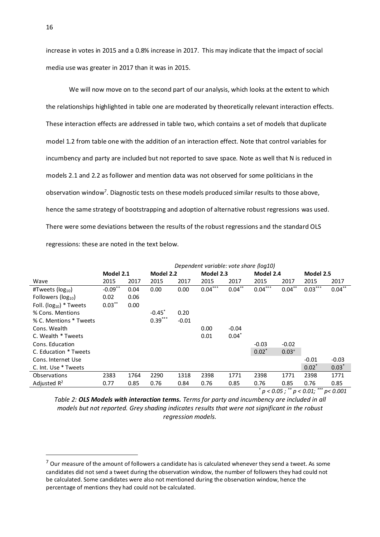increase in votes in 2015 and a 0.8% increase in 2017. This may indicate that the impact of social media use was greater in 2017 than it was in 2015.

We will now move on to the second part of our analysis, which looks at the extent to which the relationships highlighted in table one are moderated by theoretically relevant interaction effects. These interaction effects are addressed in table two, which contains a set of models that duplicate model 1.2 from table one with the addition of an interaction effect. Note that control variables for incumbency and party are included but not reported to save space. Note as well that N is reduced in models 2.1 and 2.2 as follower and mention data was not observed for some politicians in the observation window<sup>7</sup>. Diagnostic tests on these models produced similar results to those above, hence the same strategy of bootstrapping and adoption of alternative robust regressions was used. There were some deviations between the results of the robust regressions and the standard OLS regressions: these are noted in the text below.

|                               | Dependent variable: vote share (log10) |      |                      |         |           |           |           |            |           |           |
|-------------------------------|----------------------------------------|------|----------------------|---------|-----------|-----------|-----------|------------|-----------|-----------|
|                               | Model 2.1                              |      | Model 2.2            |         | Model 2.3 |           | Model 2.4 |            | Model 2.5 |           |
| Wave                          | 2015                                   | 2017 | 2015                 | 2017    | 2015      | 2017      | 2015      | 2017       | 2015      | 2017      |
| #Tweets ( $log_{10}$ )        | $-0.09$ **                             | 0.04 | 0.00                 | 0.00    | $0.04***$ | $0.04***$ | $0.04***$ | $0.04***$  | $0.03***$ | $0.04***$ |
| Followers ( $log_{10}$ )      | 0.02                                   | 0.06 |                      |         |           |           |           |            |           |           |
| Foll. ( $log_{10}$ ) * Tweets | $0.03***$                              | 0.00 |                      |         |           |           |           |            |           |           |
| % Cons. Mentions              |                                        |      | $-0.45$ <sup>*</sup> | 0.20    |           |           |           |            |           |           |
| % C. Mentions * Tweets        |                                        |      | $0.39***$            | $-0.01$ |           |           |           |            |           |           |
| Cons. Wealth                  |                                        |      |                      |         | 0.00      | $-0.04$   |           |            |           |           |
| C. Wealth * Tweets            |                                        |      |                      |         | 0.01      | $0.04*$   |           |            |           |           |
| Cons. Education               |                                        |      |                      |         |           |           | $-0.03$   | $-0.02$    |           |           |
| C. Education * Tweets         |                                        |      |                      |         |           |           | $0.02*$   | $0.03^{+}$ |           |           |
| Cons. Internet Use            |                                        |      |                      |         |           |           |           |            | $-0.01$   | $-0.03$   |
| C. Int. Use * Tweets          |                                        |      |                      |         |           |           |           |            | $0.02^*$  | $0.03*$   |
| Observations                  | 2383                                   | 1764 | 2290                 | 1318    | 2398      | 1771      | 2398      | 1771       | 2398      | 1771      |
| Adjusted $R^2$                | 0.77                                   | 0.85 | 0.76                 | 0.84    | 0.76      | 0.85      | 0.76      | 0.85       | 0.76      | 0.85      |

*\* p < 0.05 ; \*\* p < 0.01; \*\*\* p< 0.001*

*Table 2: OLS Models with interaction terms. Terms for party and incumbency are included in all models but not reported. Grey shading indicates results that were not significant in the robust regression models.* 

 $7$  Our measure of the amount of followers a candidate has is calculated whenever they send a tweet. As some candidates did not send a tweet during the observation window, the number of followers they had could not be calculated. Some candidates were also not mentioned during the observation window, hence the percentage of mentions they had could not be calculated.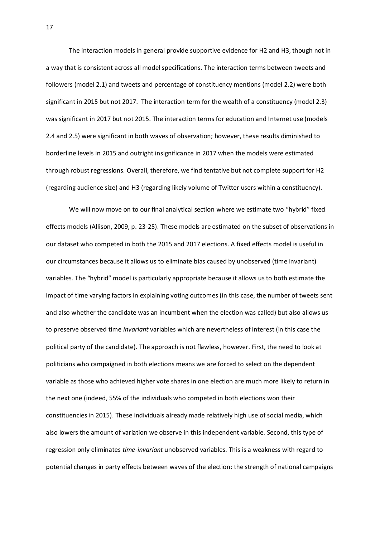The interaction models in general provide supportive evidence for H2 and H3, though not in a way that is consistent across all model specifications. The interaction terms between tweets and followers (model 2.1) and tweets and percentage of constituency mentions (model 2.2) were both significant in 2015 but not 2017. The interaction term for the wealth of a constituency (model 2.3) was significant in 2017 but not 2015. The interaction terms for education and Internet use (models 2.4 and 2.5) were significant in both waves of observation; however, these results diminished to borderline levels in 2015 and outright insignificance in 2017 when the models were estimated through robust regressions. Overall, therefore, we find tentative but not complete support for H2 (regarding audience size) and H3 (regarding likely volume of Twitter users within a constituency).

We will now move on to our final analytical section where we estimate two "hybrid" fixed effects models (Allison, 2009, p. 23-25). These models are estimated on the subset of observations in our dataset who competed in both the 2015 and 2017 elections. A fixed effects model is useful in our circumstances because it allows us to eliminate bias caused by unobserved (time invariant) variables. The "hybrid" model is particularly appropriate because it allows us to both estimate the impact of time varying factors in explaining voting outcomes (in this case, the number of tweets sent and also whether the candidate was an incumbent when the election was called) but also allows us to preserve observed time *invariant* variables which are nevertheless of interest (in this case the political party of the candidate). The approach is not flawless, however. First, the need to look at politicians who campaigned in both elections means we are forced to select on the dependent variable as those who achieved higher vote shares in one election are much more likely to return in the next one (indeed, 55% of the individuals who competed in both elections won their constituencies in 2015). These individuals already made relatively high use of social media, which also lowers the amount of variation we observe in this independent variable. Second, this type of regression only eliminates *time-invariant* unobserved variables. This is a weakness with regard to potential changes in party effects between waves of the election: the strength of national campaigns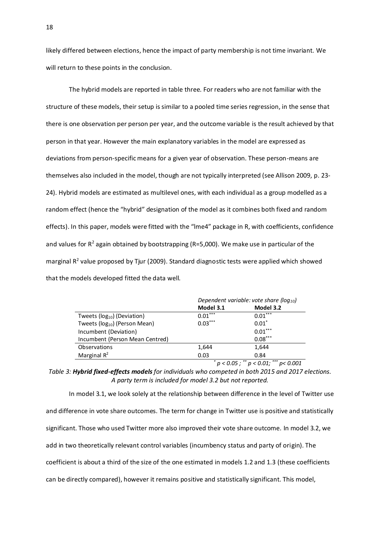likely differed between elections, hence the impact of party membership is not time invariant. We will return to these points in the conclusion.

The hybrid models are reported in table three. For readers who are not familiar with the structure of these models, their setup is similar to a pooled time series regression, in the sense that there is one observation per person per year, and the outcome variable is the result achieved by that person in that year. However the main explanatory variables in the model are expressed as deviations from person-specific means for a given year of observation. These person-means are themselves also included in the model, though are not typically interpreted (see Allison 2009, p. 23- 24). Hybrid models are estimated as multilevel ones, with each individual as a group modelled as a random effect (hence the "hybrid" designation of the model as it combines both fixed and random effects). In this paper, models were fitted with the "lme4" package in R, with coefficients, confidence and values for  $R^2$  again obtained by bootstrapping (R=5,000). We make use in particular of the marginal R<sup>2</sup> value proposed by Tjur (2009). Standard diagnostic tests were applied which showed that the models developed fitted the data well.

|                                           | Dependent variable: vote share ( $log_{10}$ ) |                        |  |  |  |
|-------------------------------------------|-----------------------------------------------|------------------------|--|--|--|
|                                           | Model 3.1                                     | Model 3.2              |  |  |  |
| Tweets ( $log_{10}$ ) (Deviation)         | $0.01***$                                     | $0.01***$              |  |  |  |
| Tweets (log <sub>10</sub> ) (Person Mean) | $0.03***$                                     | $0.01*$                |  |  |  |
| Incumbent (Deviation)                     |                                               | $0.01***$              |  |  |  |
| Incumbent (Person Mean Centred)           |                                               | $0.08***$              |  |  |  |
| Observations                              | 1,644                                         | 1,644                  |  |  |  |
| Marginal $R^2$                            | 0.03                                          | 0.84                   |  |  |  |
|                                           |                                               | ملم ملم ملم<br>مله مله |  |  |  |

*\* p < 0.05 ; \*\* p < 0.01; \*\*\* p< 0.001*

*Table 3: Hybrid fixed-effects models for individuals who competed in both 2015 and 2017 elections. A party term is included for model 3.2 but not reported.* 

In model 3.1, we look solely at the relationship between difference in the level of Twitter use and difference in vote share outcomes. The term for change in Twitter use is positive and statistically significant. Those who used Twitter more also improved their vote share outcome. In model 3.2, we add in two theoretically relevant control variables (incumbency status and party of origin). The coefficient is about a third of the size of the one estimated in models 1.2 and 1.3 (these coefficients can be directly compared), however it remains positive and statistically significant. This model,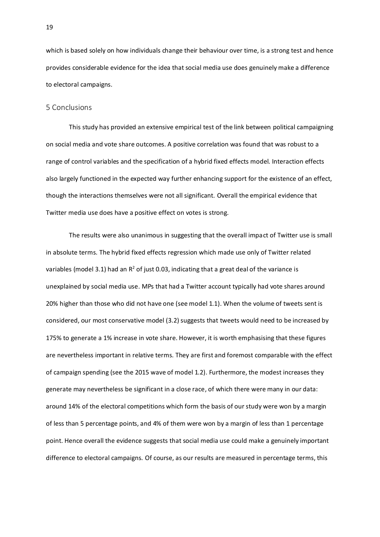which is based solely on how individuals change their behaviour over time, is a strong test and hence provides considerable evidence for the idea that social media use does genuinely make a difference to electoral campaigns.

#### 5 Conclusions

This study has provided an extensive empirical test of the link between political campaigning on social media and vote share outcomes. A positive correlation was found that was robust to a range of control variables and the specification of a hybrid fixed effects model. Interaction effects also largely functioned in the expected way further enhancing support for the existence of an effect, though the interactions themselves were not all significant. Overall the empirical evidence that Twitter media use does have a positive effect on votes is strong.

The results were also unanimous in suggesting that the overall impact of Twitter use is small in absolute terms. The hybrid fixed effects regression which made use only of Twitter related variables (model 3.1) had an  $R^2$  of just 0.03, indicating that a great deal of the variance is unexplained by social media use. MPs that had a Twitter account typically had vote shares around 20% higher than those who did not have one (see model 1.1). When the volume of tweets sent is considered, our most conservative model (3.2) suggests that tweets would need to be increased by 175% to generate a 1% increase in vote share. However, it is worth emphasising that these figures are nevertheless important in relative terms. They are first and foremost comparable with the effect of campaign spending (see the 2015 wave of model 1.2). Furthermore, the modest increases they generate may nevertheless be significant in a close race, of which there were many in our data: around 14% of the electoral competitions which form the basis of our study were won by a margin of less than 5 percentage points, and 4% of them were won by a margin of less than 1 percentage point. Hence overall the evidence suggests that social media use could make a genuinely important difference to electoral campaigns. Of course, as our results are measured in percentage terms, this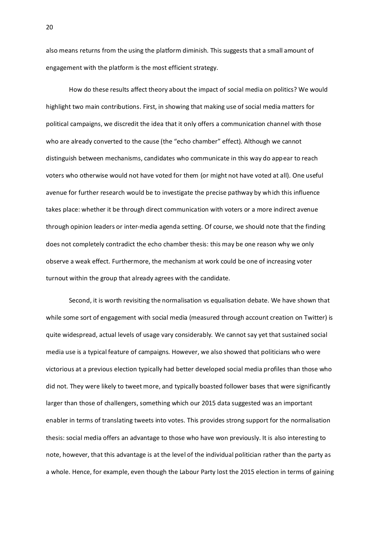also means returns from the using the platform diminish. This suggests that a small amount of engagement with the platform is the most efficient strategy.

How do these results affect theory about the impact of social media on politics? We would highlight two main contributions. First, in showing that making use of social media matters for political campaigns, we discredit the idea that it only offers a communication channel with those who are already converted to the cause (the "echo chamber" effect). Although we cannot distinguish between mechanisms, candidates who communicate in this way do appear to reach voters who otherwise would not have voted for them (or might not have voted at all). One useful avenue for further research would be to investigate the precise pathway by which this influence takes place: whether it be through direct communication with voters or a more indirect avenue through opinion leaders or inter-media agenda setting. Of course, we should note that the finding does not completely contradict the echo chamber thesis: this may be one reason why we only observe a weak effect. Furthermore, the mechanism at work could be one of increasing voter turnout within the group that already agrees with the candidate.

Second, it is worth revisiting the normalisation vs equalisation debate. We have shown that while some sort of engagement with social media (measured through account creation on Twitter) is quite widespread, actual levels of usage vary considerably. We cannot say yet that sustained social media use is a typical feature of campaigns. However, we also showed that politicians who were victorious at a previous election typically had better developed social media profiles than those who did not. They were likely to tweet more, and typically boasted follower bases that were significantly larger than those of challengers, something which our 2015 data suggested was an important enabler in terms of translating tweets into votes. This provides strong support for the normalisation thesis: social media offers an advantage to those who have won previously. It is also interesting to note, however, that this advantage is at the level of the individual politician rather than the party as a whole. Hence, for example, even though the Labour Party lost the 2015 election in terms of gaining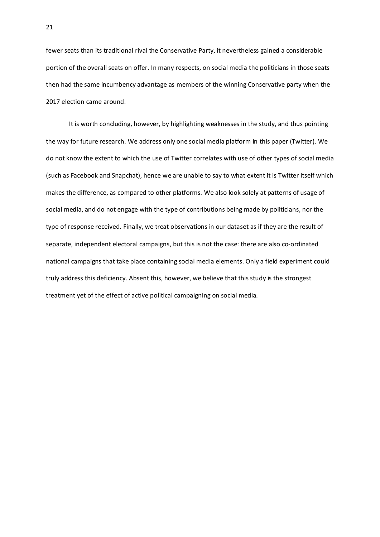fewer seats than its traditional rival the Conservative Party, it nevertheless gained a considerable portion of the overall seats on offer. In many respects, on social media the politicians in those seats then had the same incumbency advantage as members of the winning Conservative party when the 2017 election came around.

It is worth concluding, however, by highlighting weaknesses in the study, and thus pointing the way for future research. We address only one social media platform in this paper (Twitter). We do not know the extent to which the use of Twitter correlates with use of other types of social media (such as Facebook and Snapchat), hence we are unable to say to what extent it is Twitter itself which makes the difference, as compared to other platforms. We also look solely at patterns of usage of social media, and do not engage with the type of contributions being made by politicians, nor the type of response received. Finally, we treat observations in our dataset as if they are the result of separate, independent electoral campaigns, but this is not the case: there are also co-ordinated national campaigns that take place containing social media elements. Only a field experiment could truly address this deficiency. Absent this, however, we believe that this study is the strongest treatment yet of the effect of active political campaigning on social media.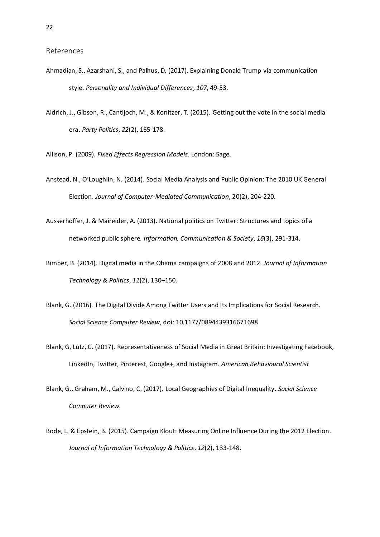- Ahmadian, S., Azarshahi, S., and Palhus, D. (2017). Explaining Donald Trump via communication style. *Personality and Individual Differences*, *107*, 49-53.
- Aldrich, J., Gibson, R., Cantijoch, M., & Konitzer, T. (2015). Getting out the vote in the social media era. *Party Politics*, *22*(2), 165-178.
- Allison, P. (2009). *Fixed Effects Regression Models*. London: Sage.
- Anstead, N., O'Loughlin, N. (2014). Social Media Analysis and Public Opinion: The 2010 UK General Election. *Journal of Computer-Mediated Communication*, 20(2), 204-220.
- Ausserhoffer, J. & Maireider, A. (2013). National politics on Twitter: Structures and topics of a networked public sphere. *Information, Communication & Society*, *16*(3), 291-314.
- Bimber, B. (2014). Digital media in the Obama campaigns of 2008 and 2012. *Journal of Information Technology & Politics*, *11*(2), 130–150.
- Blank, G. (2016). The Digital Divide Among Twitter Users and Its Implications for Social Research. *Social Science Computer Review*, doi: [10.1177/0894439316671698](https://doi.org/10.1177/0894439316671698)
- Blank, G, Lutz, C. (2017). Representativeness of Social Media in Great Britain: Investigating Facebook, LinkedIn, Twitter, Pinterest, Google+, and Instagram. *American Behavioural Scientist*
- Blank, G., Graham, M., Calvino, C. (2017). Local Geographies of Digital Inequality. *Social Science Computer Review*.
- Bode, L. & Epstein, B. (2015). Campaign Klout: Measuring Online Influence During the 2012 Election. *Journal of Information Technology & Politics*, *12*(2), 133-148.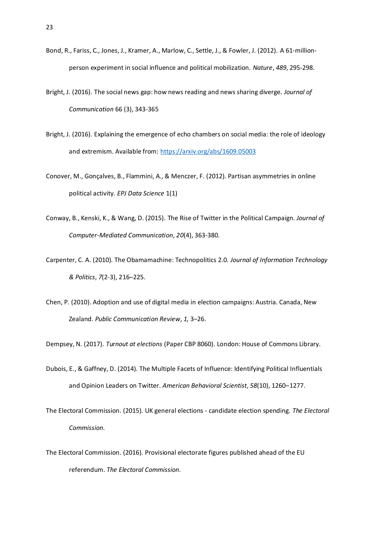- Bond, R., Fariss, C., Jones, J., Kramer, A., Marlow, C., Settle, J., & Fowler, J. (2012). A 61-millionperson experiment in social influence and political mobilization. *Nature*, *489*, 295-298.
- Bright, J. (2016). The social news gap: how news reading and news sharing diverge. *Journal of Communication* 66 (3), 343-365
- Bright, J. (2016). Explaining the emergence of echo chambers on social media: the role of ideology and extremism. Available from[: https://arxiv.org/abs/1609.05003](https://arxiv.org/abs/1609.05003)
- Conover, M., Gonçalves, B., Flammini, A., & Menczer, F. (2012). Partisan asymmetries in online political activity. *EPJ Data Science* 1(1)
- Conway, B., Kenski, K., & Wang, D. (2015). The Rise of Twitter in the Political Campaign. *Journal of Computer-Mediated Communication*, *20*(4), 363-380.
- Carpenter, C. A. (2010). The Obamamachine: Technopolitics 2.0. *Journal of Information Technology & Politics*, *7*(2-3), 216–225.
- Chen, P. (2010). Adoption and use of digital media in election campaigns: Austria. Canada, New Zealand. *Public Communication Review*, *1,* 3–26.

Dempsey, N. (2017). *Turnout at elections* (Paper CBP 8060). London: House of Commons Library.

- Dubois, E., & Gaffney, D. (2014). The Multiple Facets of Influence: Identifying Political Influentials and Opinion Leaders on Twitter. *American Behavioral Scientist*, *58*(10), 1260–1277.
- The Electoral Commission. (2015). UK general elections candidate election spending. *The Electoral Commission*.
- The Electoral Commission. (2016). Provisional electorate figures published ahead of the EU referendum. *The Electoral Commission*.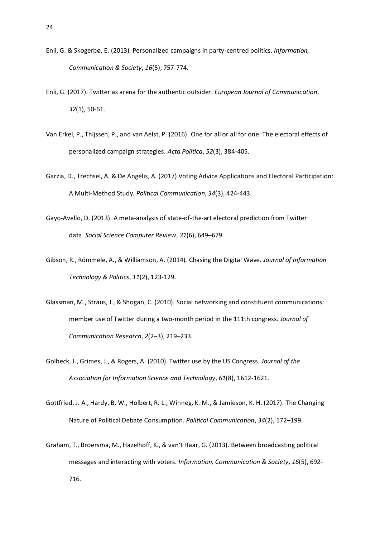- Enli, G. & Skogerbø, E. (2013). Personalized campaigns in party-centred politics. *Information, Communication & Society*, *16*(5), 757-774.
- Enli, G. (2017). Twitter as arena for the authentic outsider. *European Journal of Communication*, *32*(1), 50-61.
- Van Erkel, P., Thijssen, P., and van Aelst, P. (2016). One for all or all for one: The electoral effects of personalized campaign strategies. *Acta Politica*, *52*(3), 384-405.
- Garzia, D., Trechsel, A. & De Angelis, A. (2017) Voting Advice Applications and Electoral Participation: A Multi-Method Study. *Political Communication*, *34*(3), 424-443.
- Gayo-Avello, D. (2013). A meta-analysis of state-of-the-art electoral prediction from Twitter data. *Social Science Computer Review*, *31*(6), 649–679.
- Gibson, R., Römmele, A., & Williamson, A. (2014). Chasing the Digital Wave. *Journal of Information Technology & Politics*, *11*(2), 123-129.
- Glassman, M., Straus, J., & Shogan, C. (2010). Social networking and constituent communications: member use of Twitter during a two-month period in the 111th congress. *Journal of Communication Research*, *2*(2–3), 219–233.
- Golbeck, J., Grimes, J., & Rogers, A. (2010). Twitter use by the US Congress. *Journal of the Association for Information Science and Technology*, *61*(8), 1612-1621.
- Gottfried, J. A., Hardy, B. W., Holbert, R. L., Winneg, K. M., & Jamieson, K. H. (2017). The Changing Nature of Political Debate Consumption. *Political Communication*, *34*(2), 172–199.
- Graham, T., Broersma, M., Hazelhoff, K., & van't Haar, G. (2013). Between broadcasting political messages and interacting with voters. *Information, Communication & Society*, *16*(5), 692- 716.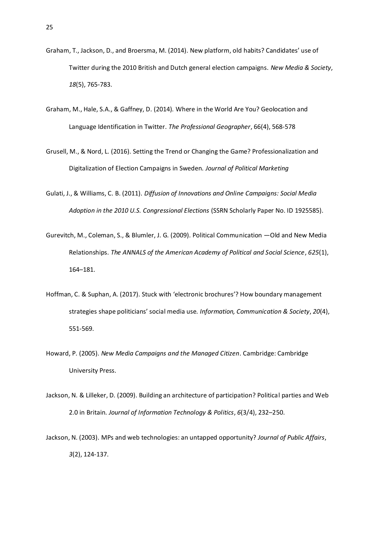- Graham, T., Jackson, D., and Broersma, M. (2014). New platform, old habits? Candidates' use of Twitter during the 2010 British and Dutch general election campaigns. *New Media & Society*, *18*(5), 765-783.
- Graham, M., Hale, S.A., & Gaffney, D. (2014). Where in the World Are You? Geolocation and Language Identification in Twitter. *The Professional Geographer*, 66(4), 568-578
- Grusell, M., & Nord, L. (2016). Setting the Trend or Changing the Game? Professionalization and Digitalization of Election Campaigns in Sweden. *Journal of Political Marketing*
- Gulati, J., & Williams, C. B. (2011). *Diffusion of Innovations and Online Campaigns: Social Media Adoption in the 2010 U.S. Congressional Elections* (SSRN Scholarly Paper No. ID 1925585).
- Gurevitch, M., Coleman, S., & Blumler, J. G. (2009). Political Communication —Old and New Media Relationships. *The ANNALS of the American Academy of Political and Social Science*, *625*(1), 164–181.
- Hoffman, C. & Suphan, A. (2017). Stuck with 'electronic brochures'? How boundary management strategies shape politicians' social media use. *Information, Communication & Society*, *20*(4), 551-569.
- Howard, P. (2005). *New Media Campaigns and the Managed Citizen*. Cambridge: Cambridge University Press.
- Jackson, N. & Lilleker, D. (2009). Building an architecture of participation? Political parties and Web 2.0 in Britain. *Journal of Information Technology & Politics*, *6*(3/4), 232–250.
- Jackson, N. (2003). MPs and web technologies: an untapped opportunity? *Journal of Public Affairs*, *3*(2), 124-137.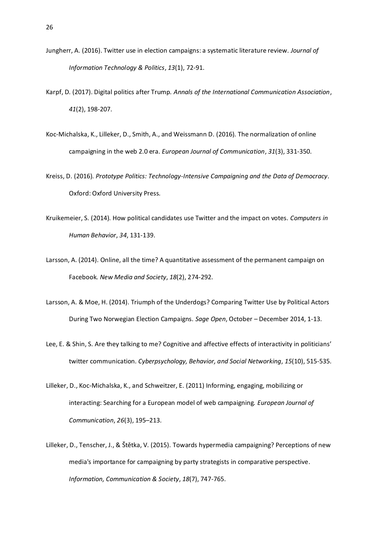- Jungherr, A. (2016). Twitter use in election campaigns: a systematic literature review. *Journal of Information Technology & Politics*, *13*(1), 72-91.
- Karpf, D. (2017). Digital politics after Trump. *Annals of the International Communication Association*, *41*(2), 198-207.
- Koc-Michalska, K., Lilleker, D., Smith, A., and Weissmann D. (2016). The normalization of online campaigning in the web 2.0 era*. European Journal of Communication*, *31*(3), 331-350.
- Kreiss, D. (2016). *Prototype Politics: Technology-Intensive Campaigning and the Data of Democracy*. Oxford: Oxford University Press.
- Kruikemeier, S. (2014). How political candidates use Twitter and the impact on votes. *Computers in Human Behavior*, *34*, 131-139.
- Larsson, A. (2014). Online, all the time? A quantitative assessment of the permanent campaign on Facebook. *New Media and Society*, *18*(2), 274-292.
- Larsson, A. & Moe, H. (2014). Triumph of the Underdogs? Comparing Twitter Use by Political Actors During Two Norwegian Election Campaigns. *Sage Open*, October – December 2014, 1-13.
- Lee, E. & Shin, S. Are they talking to me? Cognitive and affective effects of interactivity in politicians' twitter communication. *Cyberpsychology, Behavior, and Social Networking*, *15*(10), 515-535.
- Lilleker, D., Koc-Michalska, K., and Schweitzer, E. (2011) Informing, engaging, mobilizing or interacting: Searching for a European model of web campaigning. *European Journal of Communication*, *26*(3), 195–213.
- Lilleker, D., Tenscher, J., & Štětka, V. (2015). Towards hypermedia campaigning? Perceptions of new media's importance for campaigning by party strategists in comparative perspective*. Information, Communication & Society*, *18*(7), 747-765.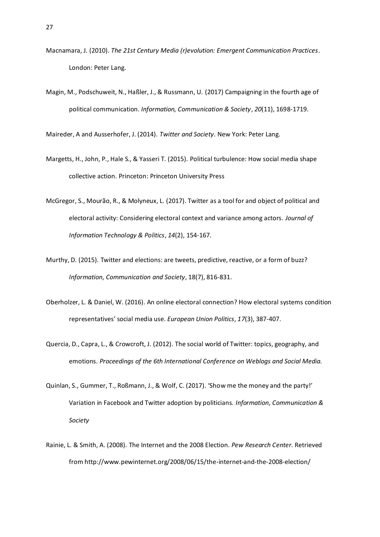- Macnamara, J. (2010). *The 21st Century Media (r)evolution: Emergent Communication Practices*. London: Peter Lang.
- Magin, M., Podschuweit, N., Haßler, J., & Russmann, U. (2017) Campaigning in the fourth age of political communication. *Information, Communication & Society*, *20*(11), 1698-1719.

Maireder, A and Ausserhofer, J. (2014). *Twitter and Society*. New York: Peter Lang.

- Margetts, H., John, P., Hale S., & Yasseri T. (2015). Political turbulence: How social media shape collective action. Princeton: Princeton University Press
- McGregor, S., Mourão, R., & Molyneux, L. (2017). Twitter as a tool for and object of political and electoral activity: Considering electoral context and variance among actors. *Journal of Information Technology & Politics*, *14*(2), 154-167.
- Murthy, D. (2015). Twitter and elections: are tweets, predictive, reactive, or a form of buzz? *Information, Communication and Society*, 18(7), 816-831.
- Oberholzer, L. & Daniel, W. (2016). An online electoral connection? How electoral systems condition representatives' social media use. *European Union Politics*, *17*(3), 387-407.
- Quercia, D., Capra, L., & Crowcroft, J. (2012). The social world of Twitter: topics, geography, and emotions. *Proceedings of the 6th International Conference on Weblogs and Social Media.*
- Quinlan, S., Gummer, T., Roßmann, J., & Wolf, C. (2017). 'Show me the money and the party!' Variation in Facebook and Twitter adoption by politicians. *Information, Communication & Society*
- Rainie, L. & Smith, A. (2008). The Internet and the 2008 Election. *Pew Research Center*. Retrieved from http://www.pewinternet.org/2008/06/15/the-internet-and-the-2008-election/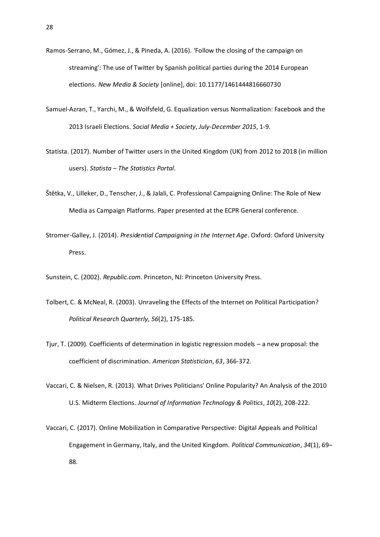- Ramos-Serrano, M., Gómez, J., & Pineda, A. (2016). 'Follow the closing of the campaign on streaming': The use of Twitter by Spanish political parties during the 2014 European elections. *New Media & Society* [online], doi[: 10.1177/1461444816660730](https://doi.org/10.1177/1461444816660730)
- Samuel-Azran, T., Yarchi, M., & Wolfsfeld, G. Equalization versus Normalization: Facebook and the 2013 Israeli Elections. *Social Media + Society*, *July-December 2015*, 1-9.
- Statista. (2017). Number of Twitter users in the United Kingdom (UK) from 2012 to 2018 (in million users). *Statista – The Statistics Portal*.
- Štětka, V., Lilleker, D., Tenscher, J., & Jalali, C. Professional Campaigning Online: The Role of New Media as Campaign Platforms. Paper presented at the ECPR General conference.
- Stromer-Galley, J. (2014). *Presidential Campaigning in the Internet Age*. Oxford: Oxford University Press.

Sunstein, C. (2002). *Republic.com*. Princeton, NJ: Princeton University Press.

- Tolbert, C. & McNeal, R. (2003). Unraveling the Effects of the Internet on Political Participation? *Political Research Quarterly, 56*(2), 175-185.
- Tjur, T. (2009). Coefficients of determination in logistic regression models a new proposal: the coefficient of discrimination. *American Statistician*, *63*, 366-372.
- Vaccari, C. & Nielsen, R. (2013). What Drives Politicians' Online Popularity? An Analysis of the 2010 U.S. Midterm Elections. *Journal of Information Technology & Politics*, *10*(2), 208-222.
- Vaccari, C. (2017). Online Mobilization in Comparative Perspective: Digital Appeals and Political Engagement in Germany, Italy, and the United Kingdom. *Political Communication*, *34*(1), 69– 88.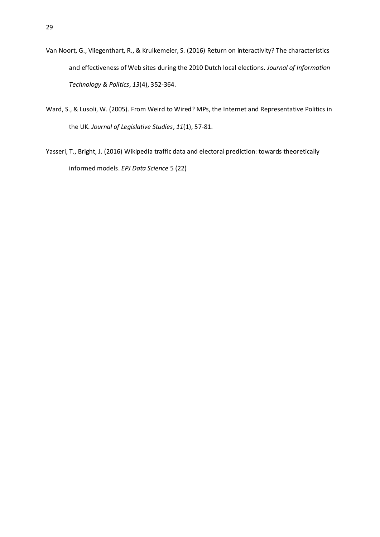- Van Noort, G., Vliegenthart, R., & Kruikemeier, S. (2016) Return on interactivity? The characteristics and effectiveness of Web sites during the 2010 Dutch local elections. *Journal of Information Technology & Politics*, *13*(4), 352-364.
- Ward, S., & Lusoli, W. (2005). From Weird to Wired? MPs, the Internet and Representative Politics in the UK. *Journal of Legislative Studies*, *11*(1), 57-81.
- Yasseri, T., Bright, J. (2016) Wikipedia traffic data and electoral prediction: towards theoretically informed models. *EPJ Data Science* 5 (22)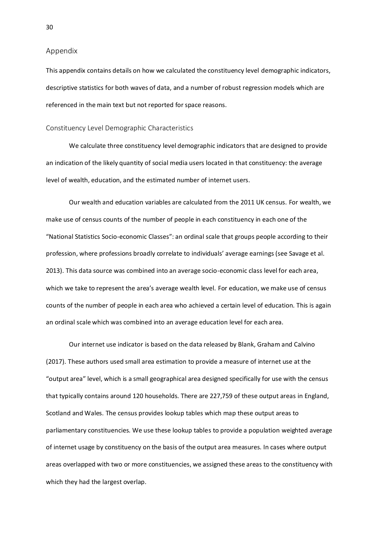#### Appendix

This appendix contains details on how we calculated the constituency level demographic indicators, descriptive statistics for both waves of data, and a number of robust regression models which are referenced in the main text but not reported for space reasons.

#### Constituency Level Demographic Characteristics

We calculate three constituency level demographic indicators that are designed to provide an indication of the likely quantity of social media users located in that constituency: the average level of wealth, education, and the estimated number of internet users.

Our wealth and education variables are calculated from the 2011 UK census. For wealth, we make use of census counts of the number of people in each constituency in each one of the "National Statistics Socio-economic Classes": an ordinal scale that groups people according to their profession, where professions broadly correlate to individuals' average earnings (see Savage et al. 2013). This data source was combined into an average socio-economic class level for each area, which we take to represent the area's average wealth level. For education, we make use of census counts of the number of people in each area who achieved a certain level of education. This is again an ordinal scale which was combined into an average education level for each area.

Our internet use indicator is based on the data released by Blank, Graham and Calvino (2017). These authors used small area estimation to provide a measure of internet use at the "output area" level, which is a small geographical area designed specifically for use with the census that typically contains around 120 households. There are 227,759 of these output areas in England, Scotland and Wales. The census provides lookup tables which map these output areas to parliamentary constituencies. We use these lookup tables to provide a population weighted average of internet usage by constituency on the basis of the output area measures. In cases where output areas overlapped with two or more constituencies, we assigned these areas to the constituency with which they had the largest overlap.

30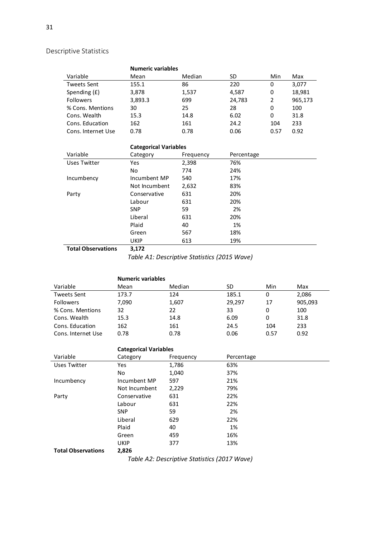# Descriptive Statistics

|                    | <b>Numeric variables</b> |        |        |      |         |
|--------------------|--------------------------|--------|--------|------|---------|
| Variable           | Mean                     | Median | SD     | Min  | Max     |
| <b>Tweets Sent</b> | 155.1                    | 86     | 220    | 0    | 3,077   |
| Spending (£)       | 3,878                    | 1,537  | 4,587  | 0    | 18,981  |
| <b>Followers</b>   | 3,893.3                  | 699    | 24,783 | 2    | 965,173 |
| % Cons. Mentions   | 30                       | 25     | 28     | 0    | 100     |
| Cons. Wealth       | 15.3                     | 14.8   | 6.02   | 0    | 31.8    |
| Cons. Education    | 162                      | 161    | 24.2   | 104  | 233     |
| Cons. Internet Use | 0.78                     | 0.78   | 0.06   | 0.57 | 0.92    |

# **Categorical Variables**

| Variable     | Category      | Frequency | Percentage |
|--------------|---------------|-----------|------------|
| Uses Twitter | Yes           | 2,398     | 76%        |
|              | No.           | 774       | 24%        |
| Incumbency   | Incumbent MP  | 540       | 17%        |
|              | Not Incumbent | 2,632     | 83%        |
| Party        | Conservative  | 631       | 20%        |
|              | Labour        | 631       | 20%        |
|              | <b>SNP</b>    | 59        | 2%         |
|              | Liberal       | 631       | 20%        |
|              | Plaid         | 40        | 1%         |
|              | Green         | 567       | 18%        |
|              | <b>UKIP</b>   | 613       | 19%        |
|              | - ---         |           |            |

**Total Observations 3,172**

*Table A1: Descriptive Statistics (2015 Wave)*

|                    | <b>Numeric variables</b> |        |        |      |         |
|--------------------|--------------------------|--------|--------|------|---------|
| Variable           | Mean                     | Median | SD     | Min  | Max     |
| <b>Tweets Sent</b> | 173.7                    | 124    | 185.1  | 0    | 2,086   |
| <b>Followers</b>   | 7.090                    | 1,607  | 29.297 | 17   | 905,093 |
| % Cons. Mentions   | 32                       | 22     | 33     | 0    | 100     |
| Cons. Wealth       | 15.3                     | 14.8   | 6.09   | 0    | 31.8    |
| Cons. Education    | 162                      | 161    | 24.5   | 104  | 233     |
| Cons. Internet Use | 0.78                     | 0.78   | 0.06   | 0.57 | 0.92    |

|                           | <b>Categorical Variables</b> |           |            |  |  |  |  |
|---------------------------|------------------------------|-----------|------------|--|--|--|--|
| Variable                  | Category                     | Frequency | Percentage |  |  |  |  |
| Uses Twitter              | Yes                          | 1,786     | 63%        |  |  |  |  |
|                           | No                           | 1,040     | 37%        |  |  |  |  |
| Incumbency                | Incumbent MP                 | 597       | 21%        |  |  |  |  |
|                           | Not Incumbent                | 2,229     | 79%        |  |  |  |  |
| Party                     | Conservative                 | 631       | 22%        |  |  |  |  |
|                           | Labour                       | 631       | 22%        |  |  |  |  |
|                           | <b>SNP</b>                   | 59        | 2%         |  |  |  |  |
|                           | Liberal                      | 629       | 22%        |  |  |  |  |
|                           | Plaid                        | 40        | 1%         |  |  |  |  |
|                           | Green                        | 459       | 16%        |  |  |  |  |
|                           | <b>UKIP</b>                  | 377       | 13%        |  |  |  |  |
| <b>Total Observations</b> | 2,826                        |           |            |  |  |  |  |

*Table A2: Descriptive Statistics (2017 Wave)*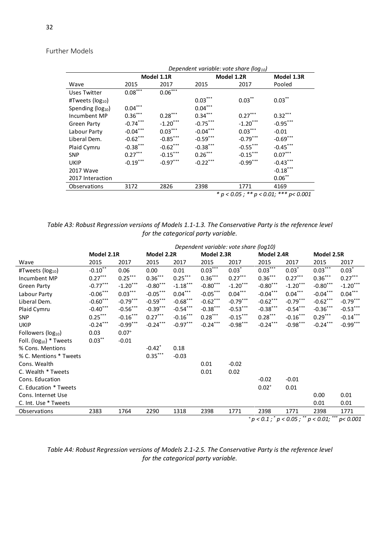## Further Models

|                               | Dependent variable: vote share ( $log_{10}$ )  |                       |            |             |            |  |  |  |
|-------------------------------|------------------------------------------------|-----------------------|------------|-------------|------------|--|--|--|
|                               |                                                | Model 1.1R            |            | Model 1.2R  |            |  |  |  |
| Wave                          | 2015                                           | 2017                  | 2015       | 2017        | Pooled     |  |  |  |
| Uses Twitter                  | $0.08***$                                      | $0.06***$             |            |             |            |  |  |  |
| #Tweets (log <sub>10</sub> )  |                                                |                       | $0.03***$  | $0.03***$   | $0.03***$  |  |  |  |
| Spending (log <sub>10</sub> ) | $0.04\sp{***}$                                 |                       | $0.04***$  |             |            |  |  |  |
| Incumbent MP                  | $0.36***$                                      | $0.28^{\ast\ast\ast}$ | $0.34***$  | $0.27***$   | $0.32***$  |  |  |  |
| Green Party                   | $-0.74***$                                     | $-1.20$ ***           | $-0.75***$ | $-1.20***$  | $-0.95***$ |  |  |  |
| Labour Party                  | $-0.04***$                                     | $0.03***$             | $-0.04***$ | $0.03***$   | $-0.01$    |  |  |  |
| Liberal Dem.                  | $-0.62$ ***                                    | $-0.85***$            | $-0.59***$ | $-0.79***$  | $-0.69***$ |  |  |  |
| Plaid Cymru                   | $-0.38$ ***                                    | $-0.62$ ***           | $-0.38***$ | $-0.55$ *** | $-0.45***$ |  |  |  |
| <b>SNP</b>                    | $0.27***$                                      | $-0.15***$            | $0.26***$  | $-0.15***$  | $0.07***$  |  |  |  |
| <b>UKIP</b>                   | $-0.19***$                                     | $-0.97***$            | $-0.22***$ | $-0.99***$  | $-0.43***$ |  |  |  |
| 2017 Wave                     |                                                |                       |            |             | $-0.18***$ |  |  |  |
| 2017 Interaction              |                                                |                       |            |             | $0.06***$  |  |  |  |
| <b>Observations</b>           | 3172                                           | 2826                  | 2398       | 1771        | 4169       |  |  |  |
|                               | * $p < 0.05$ ; ** $p < 0.01$ ; *** $p < 0.001$ |                       |            |             |            |  |  |  |

*Table A3: Robust Regression versions of Models 1.1-1.3. The Conservative Party is the reference level for the categorical party variable.* 

|                                | Dependent variable: vote share (log10) |                       |                      |            |            |                |            |                                                                                                                                                                                                                                                                        |            |            |
|--------------------------------|----------------------------------------|-----------------------|----------------------|------------|------------|----------------|------------|------------------------------------------------------------------------------------------------------------------------------------------------------------------------------------------------------------------------------------------------------------------------|------------|------------|
|                                | Model 2.1R                             |                       | Model 2.2R           |            | Model 2.3R |                | Model 2.4R |                                                                                                                                                                                                                                                                        | Model 2.5R |            |
| Wave                           | 2015                                   | 2017                  | 2015                 | 2017       | 2015       | 2017           | 2015       | 2017                                                                                                                                                                                                                                                                   | 2015       | 2017       |
| #Tweets ( $log_{10}$ )         | $-0.10**$                              | 0.06                  | 0.00                 | 0.01       | $0.03***$  | $0.03^*$       | $0.03***$  | $0.03^*$                                                                                                                                                                                                                                                               | $0.03***$  | $0.03^*$   |
| Incumbent MP                   | $0.27***$                              | $0.25^{\ast\ast\ast}$ | $0.36***$            | $0.25***$  | $0.36***$  | $0.27***$      | $0.36***$  | $0.27***$                                                                                                                                                                                                                                                              | $0.36***$  | $0.27***$  |
| Green Party                    | $-0.77***$                             | $-1.20***$            | $-0.80***$           | $-1.18***$ | $-0.80***$ | $-1.20***$     | $-0.80***$ | $-1.20***$                                                                                                                                                                                                                                                             | $-0.80***$ | $-1.20***$ |
| Labour Party                   | $-0.06***$                             | $0.03***$             | $-0.05***$           | $0.04***$  | $-0.05***$ | $0.04\sp{***}$ | $-0.04***$ | $0.04***$                                                                                                                                                                                                                                                              | $-0.04***$ | $0.04***$  |
| Liberal Dem.                   | $-0.60***$                             | $-0.79***$            | $-0.59***$           | $-0.68***$ | $-0.62***$ | $-0.79***$     | $-0.62***$ | $-0.79***$                                                                                                                                                                                                                                                             | $-0.62***$ | $-0.79***$ |
| Plaid Cymru                    | $-0.40$ ***                            | $-0.56***$            | $-0.39***$           | $-0.54***$ | $-0.38***$ | $-0.53***$     | $-0.38***$ | $-0.54***$                                                                                                                                                                                                                                                             | $-0.36***$ | $-0.53***$ |
| <b>SNP</b>                     | $0.25***$                              | $-0.16***$            | $0.27***$            | $-0.16***$ | $0.28***$  | $-0.15***$     | $0.28***$  | $-0.16***$                                                                                                                                                                                                                                                             | $0.29***$  | $-0.14***$ |
| <b>UKIP</b>                    | $-0.24***$                             | $-0.99***$            | $-0.24***$           | $-0.97***$ | $-0.24***$ | $-0.98***$     | $-0.24***$ | $-0.98***$                                                                                                                                                                                                                                                             | $-0.24***$ | $-0.99***$ |
| Followers (log <sub>10</sub> ) | 0.03                                   | $0.07^{+}$            |                      |            |            |                |            |                                                                                                                                                                                                                                                                        |            |            |
| Foll. ( $log_{10}$ ) * Tweets  | $0.03***$                              | $-0.01$               |                      |            |            |                |            |                                                                                                                                                                                                                                                                        |            |            |
| % Cons. Mentions               |                                        |                       | $-0.42$ <sup>*</sup> | 0.18       |            |                |            |                                                                                                                                                                                                                                                                        |            |            |
| % C. Mentions * Tweets         |                                        |                       | $0.35\sp{*}^{***}$   | $-0.03$    |            |                |            |                                                                                                                                                                                                                                                                        |            |            |
| Cons. Wealth                   |                                        |                       |                      |            | 0.01       | $-0.02$        |            |                                                                                                                                                                                                                                                                        |            |            |
| C. Wealth * Tweets             |                                        |                       |                      |            | 0.01       | 0.02           |            |                                                                                                                                                                                                                                                                        |            |            |
| Cons. Education                |                                        |                       |                      |            |            |                | $-0.02$    | $-0.01$                                                                                                                                                                                                                                                                |            |            |
| C. Education * Tweets          |                                        |                       |                      |            |            |                | $0.02^{+}$ | 0.01                                                                                                                                                                                                                                                                   |            |            |
| Cons. Internet Use             |                                        |                       |                      |            |            |                |            |                                                                                                                                                                                                                                                                        | 0.00       | 0.01       |
| C. Int. Use * Tweets           |                                        |                       |                      |            |            |                |            |                                                                                                                                                                                                                                                                        | 0.01       | 0.01       |
| <b>Observations</b>            | 2383                                   | 1764                  | 2290                 | 1318       | 2398       | 1771           | 2398       | 1771                                                                                                                                                                                                                                                                   | 2398       | 1771       |
|                                |                                        |                       |                      |            |            |                |            | $p < 0.1$ ; $p < 0.05$ ; $p < 0.01$ ; $p > 0.01$ ; $p > 0.01$ ; $p > 0.01$ ; $p > 0.01$ ; $p > 0.01$ ; $p > 0.01$ ; $p > 0.01$ ; $p > 0.01$ ; $p > 0.01$ ; $p > 0.01$ ; $p > 0.01$ ; $p > 0.01$ ; $p > 0.01$ ; $p > 0.01$ ; $p > 0.01$ ; $p > 0.01$ ; $p > 0.01$ ; $p$ |            | p < 0.001  |

*Table A4: Robust Regression versions of Models 2.1-2.5. The Conservative Party is the reference level for the categorical party variable.*